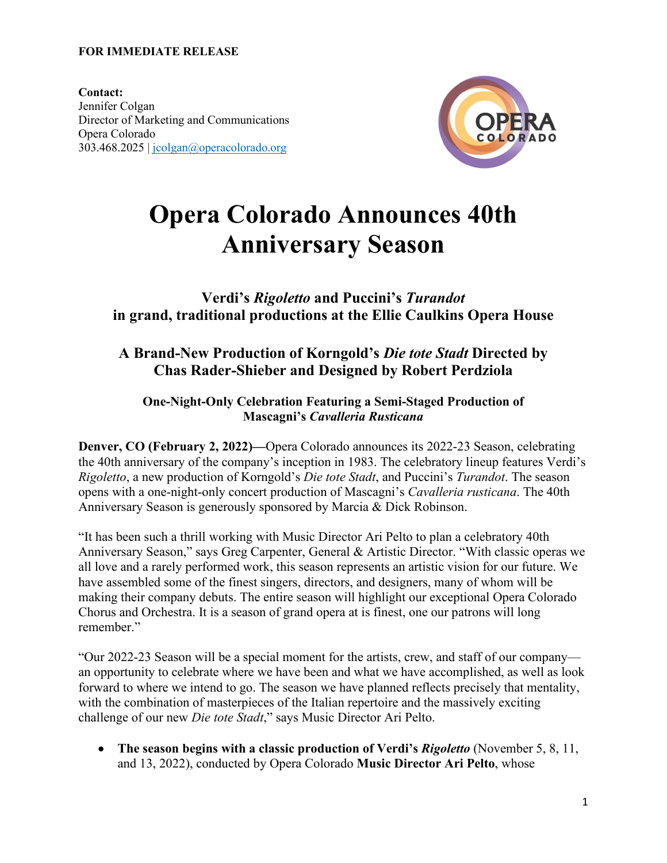#### **FOR IMMEDIATE RELEASE**

**Contact:**  Jennifer Colgan Director of Marketing and Communications Opera Colorado 303.468.2025 | [jcolgan@operacolorado.org](mailto:jcolgan@operacolorado.org)



# **Opera Colorado Announces 40th Anniversary Season**

**Verdi's** *Rigoletto* **and Puccini's** *Turandot* **in grand, traditional productions at the Ellie Caulkins Opera House**

## **A Brand-New Production of Korngold's** *Die tote Stadt* **Directed by Chas Rader-Shieber and Designed by Robert Perdziola**

## **One-Night-Only Celebration Featuring a Semi-Staged Production of Mascagni's** *Cavalleria Rusticana*

**Denver, CO (February 2, 2022)—**Opera Colorado announces its 2022-23 Season, celebrating the 40th anniversary of the company's inception in 1983. The celebratory lineup features Verdi's *Rigoletto*, a new production of Korngold's *Die tote Stadt*, and Puccini's *Turandot*. The season opens with a one-night-only concert production of Mascagni's *Cavalleria rusticana*. The 40th Anniversary Season is generously sponsored by Marcia & Dick Robinson.

"It has been such a thrill working with Music Director Ari Pelto to plan a celebratory 40th Anniversary Season," says Greg Carpenter, General & Artistic Director. "With classic operas we all love and a rarely performed work, this season represents an artistic vision for our future. We have assembled some of the finest singers, directors, and designers, many of whom will be making their company debuts. The entire season will highlight our exceptional Opera Colorado Chorus and Orchestra. It is a season of grand opera at is finest, one our patrons will long remember."

"Our 2022-23 Season will be a special moment for the artists, crew, and staff of our company an opportunity to celebrate where we have been and what we have accomplished, as well as look forward to where we intend to go. The season we have planned reflects precisely that mentality, with the combination of masterpieces of the Italian repertoire and the massively exciting challenge of our new *Die tote Stadt*," says Music Director Ari Pelto.

• **The season begins with a classic production of Verdi's** *Rigoletto* (November 5, 8, 11, and 13, 2022), conducted by Opera Colorado **Music Director Ari Pelto**, whose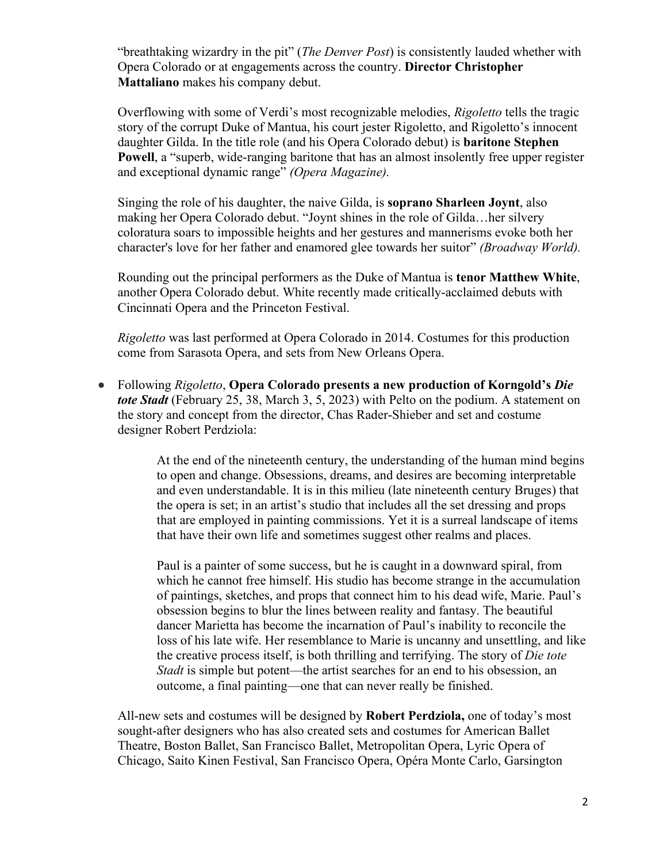"breathtaking wizardry in the pit" (*The Denver Post*) is consistently lauded whether with Opera Colorado or at engagements across the country. **Director Christopher Mattaliano** makes his company debut.

Overflowing with some of Verdi's most recognizable melodies, *Rigoletto* tells the tragic story of the corrupt Duke of Mantua, his court jester Rigoletto, and Rigoletto's innocent daughter Gilda. In the title role (and his Opera Colorado debut) is **baritone Stephen Powell**, a "superb, wide-ranging baritone that has an almost insolently free upper register and exceptional dynamic range" *(Opera Magazine).*

Singing the role of his daughter, the naive Gilda, is **soprano Sharleen Joynt**, also making her Opera Colorado debut. "Joynt shines in the role of Gilda…her silvery coloratura soars to impossible heights and her gestures and mannerisms evoke both her character's love for her father and enamored glee towards her suitor" *(Broadway World).*

Rounding out the principal performers as the Duke of Mantua is **tenor Matthew White**, another Opera Colorado debut. White recently made critically-acclaimed debuts with Cincinnati Opera and the Princeton Festival.

*Rigoletto* was last performed at Opera Colorado in 2014. Costumes for this production come from Sarasota Opera, and sets from New Orleans Opera.

• Following *Rigoletto*, **Opera Colorado presents a new production of Korngold's** *Die tote Stadt* (February 25, 38, March 3, 5, 2023) with Pelto on the podium. A statement on the story and concept from the director, Chas Rader-Shieber and set and costume designer Robert Perdziola:

> At the end of the nineteenth century, the understanding of the human mind begins to open and change. Obsessions, dreams, and desires are becoming interpretable and even understandable. It is in this milieu (late nineteenth century Bruges) that the opera is set; in an artist's studio that includes all the set dressing and props that are employed in painting commissions. Yet it is a surreal landscape of items that have their own life and sometimes suggest other realms and places.

> Paul is a painter of some success, but he is caught in a downward spiral, from which he cannot free himself. His studio has become strange in the accumulation of paintings, sketches, and props that connect him to his dead wife, Marie. Paul's obsession begins to blur the lines between reality and fantasy. The beautiful dancer Marietta has become the incarnation of Paul's inability to reconcile the loss of his late wife. Her resemblance to Marie is uncanny and unsettling, and like the creative process itself, is both thrilling and terrifying. The story of *Die tote Stadt* is simple but potent—the artist searches for an end to his obsession, an outcome, a final painting—one that can never really be finished.

All-new sets and costumes will be designed by **Robert Perdziola,** one of today's most sought-after designers who has also created sets and costumes for American Ballet Theatre, Boston Ballet, San Francisco Ballet, Metropolitan Opera, Lyric Opera of Chicago, Saito Kinen Festival, San Francisco Opera, Opéra Monte Carlo, Garsington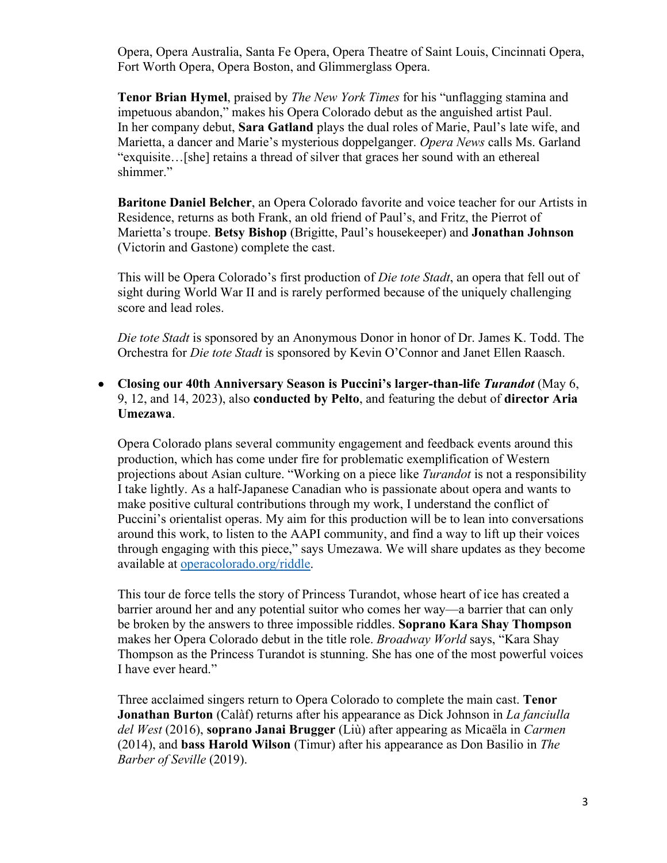Opera, Opera Australia, Santa Fe Opera, Opera Theatre of Saint Louis, Cincinnati Opera, Fort Worth Opera, Opera Boston, and Glimmerglass Opera.

**Tenor Brian Hymel**, praised by *The New York Times* for his "unflagging stamina and impetuous abandon," makes his Opera Colorado debut as the anguished artist Paul. In her company debut, **Sara Gatland** plays the dual roles of Marie, Paul's late wife, and Marietta, a dancer and Marie's mysterious doppelganger. *Opera News* calls Ms. Garland "exquisite…[she] retains a thread of silver that graces her sound with an ethereal shimmer."

**Baritone Daniel Belcher**, an Opera Colorado favorite and voice teacher for our Artists in Residence, returns as both Frank, an old friend of Paul's, and Fritz, the Pierrot of Marietta's troupe. **Betsy Bishop** (Brigitte, Paul's housekeeper) and **Jonathan Johnson** (Victorin and Gastone) complete the cast.

This will be Opera Colorado's first production of *Die tote Stadt*, an opera that fell out of sight during World War II and is rarely performed because of the uniquely challenging score and lead roles.

*Die tote Stadt* is sponsored by an Anonymous Donor in honor of Dr. James K. Todd. The Orchestra for *Die tote Stadt* is sponsored by Kevin O'Connor and Janet Ellen Raasch.

• **Closing our 40th Anniversary Season is Puccini's larger-than-life** *Turandot* (May 6, 9, 12, and 14, 2023), also **conducted by Pelto**, and featuring the debut of **director Aria Umezawa**.

Opera Colorado plans several community engagement and feedback events around this production, which has come under fire for problematic exemplification of Western projections about Asian culture. "Working on a piece like *Turandot* is not a responsibility I take lightly. As a half-Japanese Canadian who is passionate about opera and wants to make positive cultural contributions through my work, I understand the conflict of Puccini's orientalist operas. My aim for this production will be to lean into conversations around this work, to listen to the AAPI community, and find a way to lift up their voices through engaging with this piece," says Umezawa. We will share updates as they become available at operacolorado.org/riddle.

This tour de force tells the story of Princess Turandot, whose heart of ice has created a barrier around her and any potential suitor who comes her way—a barrier that can only be broken by the answers to three impossible riddles. **Soprano Kara Shay Thompson**  makes her Opera Colorado debut in the title role. *Broadway World* says, "Kara Shay Thompson as the Princess Turandot is stunning. She has one of the most powerful voices I have ever heard."

Three acclaimed singers return to Opera Colorado to complete the main cast. **Tenor Jonathan Burton** (Calàf) returns after his appearance as Dick Johnson in *La fanciulla del West* (2016), **soprano Janai Brugger** (Liù) after appearing as Micaëla in *Carmen* (2014), and **bass Harold Wilson** (Timur) after his appearance as Don Basilio in *The Barber of Seville* (2019).